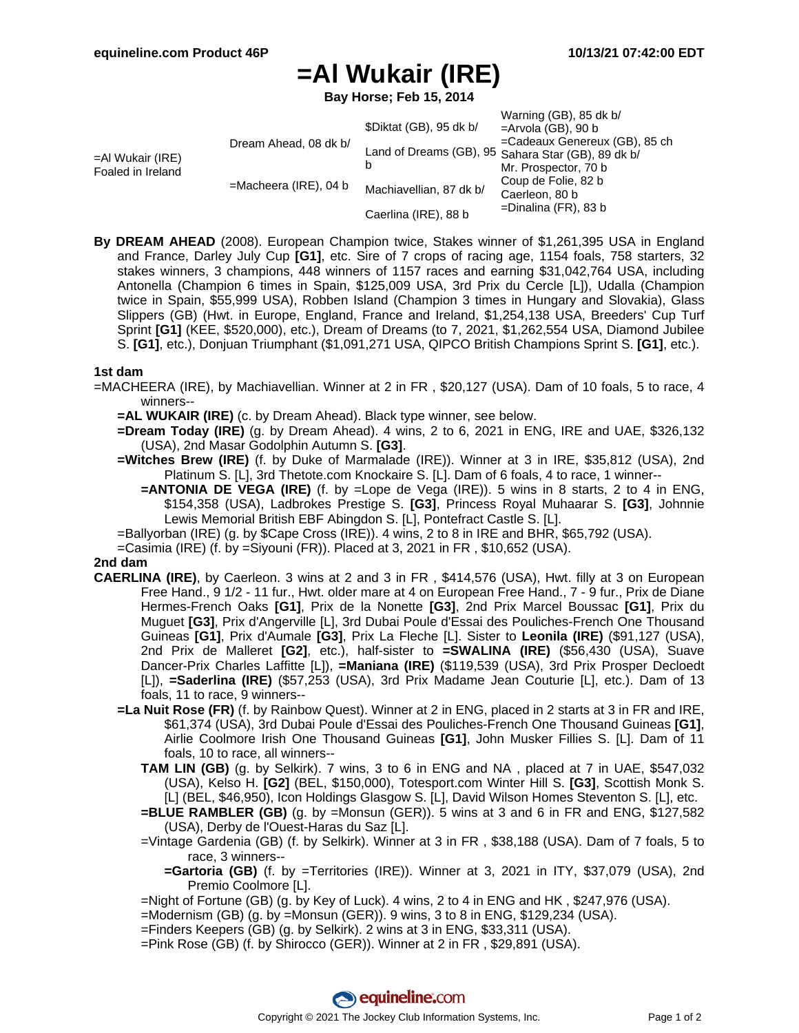$M_{\text{prime}}$  (CB), 85 dk b/

## **=Al Wukair (IRE)**

**Bay Horse; Feb 15, 2014**

|                                              | \$Diktat (GB), 95 dk b/  | $V$ aming (UD), ob uk b<br>$=$ Arvola (GB), 90 b        |
|----------------------------------------------|--------------------------|---------------------------------------------------------|
| Dream Ahead, 08 dk b/<br>$=$ Al Wukair (IRE) |                          | =Cadeaux Genereux (GB), 85 ch                           |
|                                              |                          |                                                         |
|                                              |                          | Mr. Prospector, 70 b                                    |
|                                              | Machiavellian, 87 dk b/  | Coup de Folie, 82 b                                     |
|                                              |                          | Caerleon, 80 b                                          |
|                                              | Caerlina (IRE), 88 b     | $=$ Dinalina (FR), 83 b                                 |
|                                              | $=$ Macheera (IRE), 04 b | Land of Dreams (GB), 95 Sahara Star (GB), 89 dk b/<br>b |

**By DREAM AHEAD** (2008). European Champion twice, Stakes winner of \$1,261,395 USA in England and France, Darley July Cup **[G1]**, etc. Sire of 7 crops of racing age, 1154 foals, 758 starters, 32 stakes winners, 3 champions, 448 winners of 1157 races and earning \$31,042,764 USA, including Antonella (Champion 6 times in Spain, \$125,009 USA, 3rd Prix du Cercle [L]), Udalla (Champion twice in Spain, \$55,999 USA), Robben Island (Champion 3 times in Hungary and Slovakia), Glass Slippers (GB) (Hwt. in Europe, England, France and Ireland, \$1,254,138 USA, Breeders' Cup Turf Sprint **[G1]** (KEE, \$520,000), etc.), Dream of Dreams (to 7, 2021, \$1,262,554 USA, Diamond Jubilee S. **[G1]**, etc.), Donjuan Triumphant (\$1,091,271 USA, QIPCO British Champions Sprint S. **[G1]**, etc.).

## **1st dam**

- =MACHEERA (IRE), by Machiavellian. Winner at 2 in FR , \$20,127 (USA). Dam of 10 foals, 5 to race, 4 winners--
	- **=AL WUKAIR (IRE)** (c. by Dream Ahead). Black type winner, see below.
	- **=Dream Today (IRE)** (g. by Dream Ahead). 4 wins, 2 to 6, 2021 in ENG, IRE and UAE, \$326,132 (USA), 2nd Masar Godolphin Autumn S. **[G3]**.
	- **=Witches Brew (IRE)** (f. by Duke of Marmalade (IRE)). Winner at 3 in IRE, \$35,812 (USA), 2nd Platinum S. [L], 3rd Thetote.com Knockaire S. [L]. Dam of 6 foals, 4 to race, 1 winner--
		- **=ANTONIA DE VEGA (IRE)** (f. by =Lope de Vega (IRE)). 5 wins in 8 starts, 2 to 4 in ENG, \$154,358 (USA), Ladbrokes Prestige S. **[G3]**, Princess Royal Muhaarar S. **[G3]**, Johnnie Lewis Memorial British EBF Abingdon S. [L], Pontefract Castle S. [L].
	- =Ballyorban (IRE) (g. by \$Cape Cross (IRE)). 4 wins, 2 to 8 in IRE and BHR, \$65,792 (USA).
	- =Casimia (IRE) (f. by =Siyouni (FR)). Placed at 3, 2021 in FR , \$10,652 (USA).

## **2nd dam**

- **CAERLINA (IRE)**, by Caerleon. 3 wins at 2 and 3 in FR , \$414,576 (USA), Hwt. filly at 3 on European Free Hand., 9 1/2 - 11 fur., Hwt. older mare at 4 on European Free Hand., 7 - 9 fur., Prix de Diane Hermes-French Oaks **[G1]**, Prix de la Nonette **[G3]**, 2nd Prix Marcel Boussac **[G1]**, Prix du Muguet **[G3]**, Prix d'Angerville [L], 3rd Dubai Poule d'Essai des Pouliches-French One Thousand Guineas **[G1]**, Prix d'Aumale **[G3]**, Prix La Fleche [L]. Sister to **Leonila (IRE)** (\$91,127 (USA), 2nd Prix de Malleret **[G2]**, etc.), half-sister to **=SWALINA (IRE)** (\$56,430 (USA), Suave Dancer-Prix Charles Laffitte [L]), **=Maniana (IRE)** (\$119,539 (USA), 3rd Prix Prosper Decloedt [L]), **=Saderlina (IRE)** (\$57,253 (USA), 3rd Prix Madame Jean Couturie [L], etc.). Dam of 13 foals, 11 to race, 9 winners--
	- **=La Nuit Rose (FR)** (f. by Rainbow Quest). Winner at 2 in ENG, placed in 2 starts at 3 in FR and IRE, \$61,374 (USA), 3rd Dubai Poule d'Essai des Pouliches-French One Thousand Guineas **[G1]**, Airlie Coolmore Irish One Thousand Guineas **[G1]**, John Musker Fillies S. [L]. Dam of 11 foals, 10 to race, all winners--
		- **TAM LIN (GB)** (g. by Selkirk). 7 wins, 3 to 6 in ENG and NA , placed at 7 in UAE, \$547,032 (USA), Kelso H. **[G2]** (BEL, \$150,000), Totesport.com Winter Hill S. **[G3]**, Scottish Monk S. [L] (BEL, \$46,950), Icon Holdings Glasgow S. [L], David Wilson Homes Steventon S. [L], etc.
		- **=BLUE RAMBLER (GB)** (g. by =Monsun (GER)). 5 wins at 3 and 6 in FR and ENG, \$127,582 (USA), Derby de l'Ouest-Haras du Saz [L].
		- =Vintage Gardenia (GB) (f. by Selkirk). Winner at 3 in FR , \$38,188 (USA). Dam of 7 foals, 5 to race, 3 winners--
			- **=Gartoria (GB)** (f. by =Territories (IRE)). Winner at 3, 2021 in ITY, \$37,079 (USA), 2nd Premio Coolmore [L].
		- =Night of Fortune (GB) (g. by Key of Luck). 4 wins, 2 to 4 in ENG and HK , \$247,976 (USA).
		- $=$ Modernism (GB) (g. by  $=$ Monsun (GER)). 9 wins, 3 to 8 in ENG, \$129,234 (USA).
		- =Finders Keepers (GB) (g. by Selkirk). 2 wins at 3 in ENG, \$33,311 (USA).
		- =Pink Rose (GB) (f. by Shirocco (GER)). Winner at 2 in FR , \$29,891 (USA).